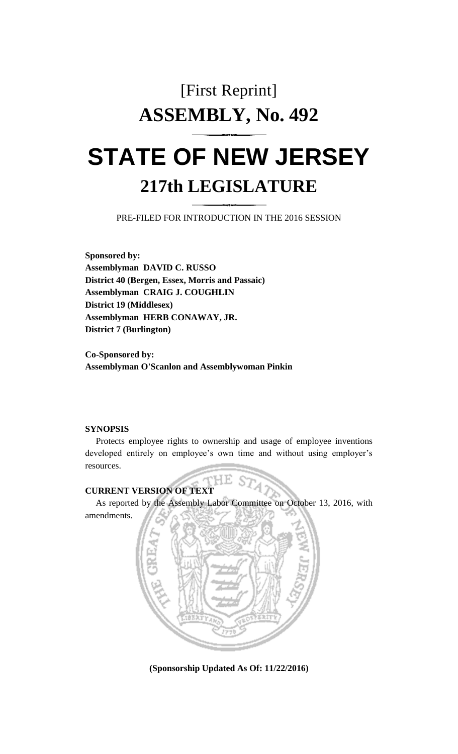# [First Reprint] **ASSEMBLY, No. 492**

## **STATE OF NEW JERSEY 217th LEGISLATURE**

PRE-FILED FOR INTRODUCTION IN THE 2016 SESSION

**Sponsored by: Assemblyman DAVID C. RUSSO District 40 (Bergen, Essex, Morris and Passaic) Assemblyman CRAIG J. COUGHLIN District 19 (Middlesex) Assemblyman HERB CONAWAY, JR. District 7 (Burlington)**

**Co-Sponsored by: Assemblyman O'Scanlon and Assemblywoman Pinkin**

#### **SYNOPSIS**

Protects employee rights to ownership and usage of employee inventions developed entirely on employee's own time and without using employer's resources.

### **CURRENT VERSION OF TEXT**

As reported by the Assembly Labor Committee on October 13, 2016, with amendments.

HЕ



**(Sponsorship Updated As Of: 11/22/2016)**